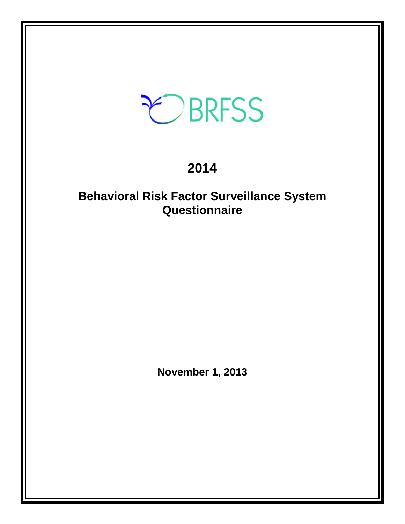

# **2014**

# **Behavioral Risk Factor Surveillance System Questionnaire**

**November 1, 2013**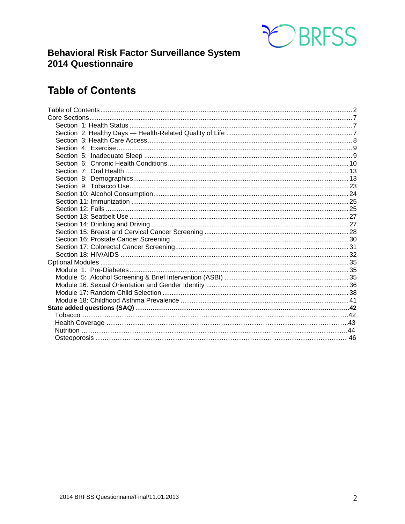

# **Behavioral Risk Factor Surveillance System** 2014 Questionnaire

# <span id="page-1-0"></span>**Table of Contents**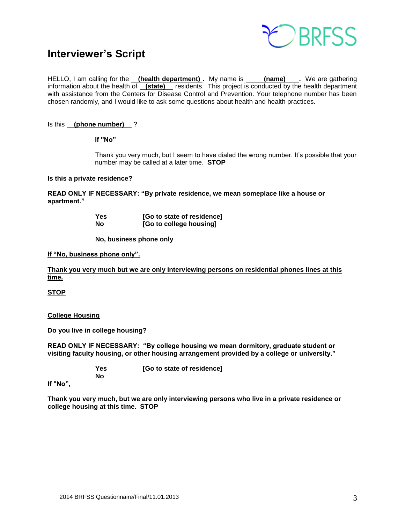

# **Interviewer's Script**

HELLO, I am calling for the **(health department) .** My name is **(name) .** We are gathering information about the health of **(state)** residents. This project is conducted by the health department with assistance from the Centers for Disease Control and Prevention. Your telephone number has been chosen randomly, and I would like to ask some questions about health and health practices.

#### Is this **(phone number)** ?

**If "No"** 

Thank you very much, but I seem to have dialed the wrong number. It's possible that your number may be called at a later time. **STOP**

#### **Is this a private residence?**

**READ ONLY IF NECESSARY: "By private residence, we mean someplace like a house or apartment."**

> **Yes [Go to state of residence] No [Go to college housing]**

**No, business phone only**

#### **If "No, business phone only".**

**Thank you very much but we are only interviewing persons on residential phones lines at this time.**

**STOP**

#### **College Housing**

**Do you live in college housing?** 

**READ ONLY IF NECESSARY: "By college housing we mean dormitory, graduate student or visiting faculty housing, or other housing arrangement provided by a college or university."**

> **Yes [Go to state of residence] No**

**If "No",**

**Thank you very much, but we are only interviewing persons who live in a private residence or college housing at this time. STOP**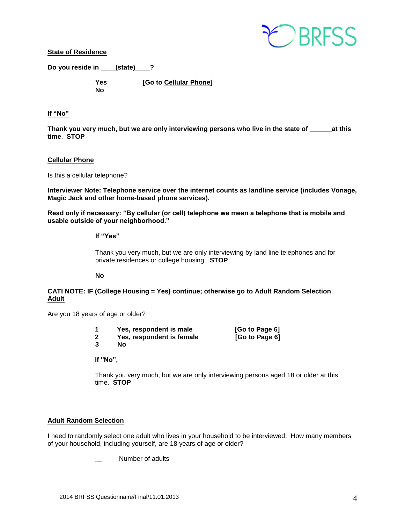

**State of Residence**

**Do you reside in \_\_\_\_(state)\_\_\_\_?** 

**No**

**Yes [Go to Cellular Phone]**

### **If "No"**

Thank you very much, but we are only interviewing persons who live in the state of at this **time**. **STOP**

#### **Cellular Phone**

Is this a cellular telephone?

**Interviewer Note: Telephone service over the internet counts as landline service (includes Vonage, Magic Jack and other home-based phone services).**

**Read only if necessary: "By cellular (or cell) telephone we mean a telephone that is mobile and usable outside of your neighborhood."** 

#### **If "Yes"**

Thank you very much, but we are only interviewing by land line telephones and for private residences or college housing. **STOP**

**No**

### **CATI NOTE: IF (College Housing = Yes) continue; otherwise go to Adult Random Selection Adult**

Are you 18 years of age or older?

| Yes, respondent is male   | [Go to Page 6] |
|---------------------------|----------------|
| Yes, respondent is female | [Go to Page 6] |
| Nο                        |                |

**If "No",**

Thank you very much, but we are only interviewing persons aged 18 or older at this time. **STOP** 

### **Adult Random Selection**

I need to randomly select one adult who lives in your household to be interviewed. How many members of your household, including yourself, are 18 years of age or older?

Number of adults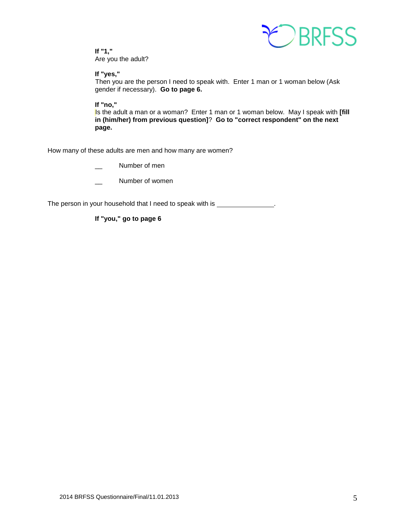

**If "1,"**  Are you the adult?

**If "yes,"** 

Then you are the person I need to speak with. Enter 1 man or 1 woman below (Ask gender if necessary). **Go to page 6.**

**If "no,"** 

Is the adult a man or a woman? Enter 1 man or 1 woman below. May I speak with [fill **in (him/her) from previous question]**? **Go to "correct respondent" on the next page.**

How many of these adults are men and how many are women?

Number of men

\_\_ Number of women

The person in your household that I need to speak with is \_\_\_\_\_\_\_\_\_\_\_\_\_\_.

**If "you," go to page 6**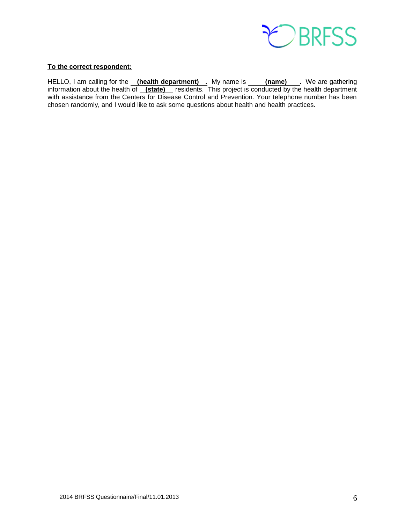

#### **To the correct respondent:**

HELLO, I am calling for the **(health department)** . My name is **(name)** . We are gathering information about the health of **(state)** residents. This project is conducted by the health department with assistance from the Centers for Disease Control and Prevention. Your telephone number has been chosen randomly, and I would like to ask some questions about health and health practices.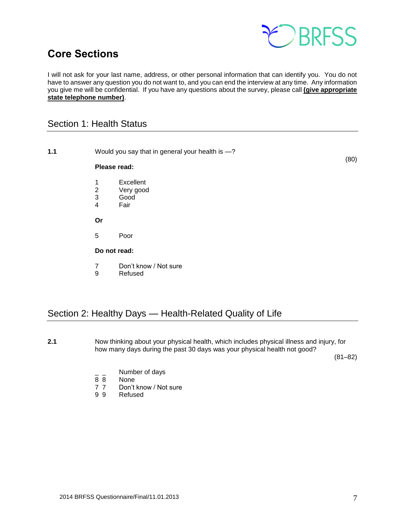

# <span id="page-6-0"></span>**Core Sections**

I will not ask for your last name, address, or other personal information that can identify you. You do not have to answer any question you do not want to, and you can end the interview at any time. Any information you give me will be confidential. If you have any questions about the survey, please call **(give appropriate state telephone number)**.

# <span id="page-6-1"></span>Section 1: Health Status

**1.1** Would you say that in general your health is —?

(80)

#### **Please read:**

- 1 Excellent<br>2 Very good
- Very good
- 3 Good
- **Fair**
- **Or**
- 5 Poor

### **Do not read:**

- 7 Don't know / Not sure<br>9 Refused
- **Refused**

# <span id="page-6-2"></span>Section 2: Healthy Days — Health-Related Quality of Life

**2.1** Now thinking about your physical health, which includes physical illness and injury, for how many days during the past 30 days was your physical health not good?

(81–82)

- $\frac{1}{8}$   $\frac{1}{8}$  Number of days
- 8 8 None<br>7 7 Don't
- 7 7 Don't know / Not sure<br>9 9 Refused
- **Refused**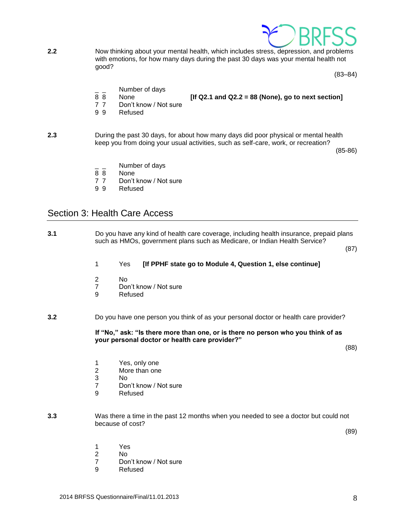

**2.2** Now thinking about your mental health, which includes stress, depression, and problems with emotions, for how many days during the past 30 days was your mental health not good?

(83–84)

- $\frac{1}{8}$   $\frac{1}{8}$  Number of days
	- 8 8 None **[If Q2.1 and Q2.2 = 88 (None), go to next section]**
- 
- 7 7 Don't know / Not sure 9 9 Refused
- 

**2.3** During the past 30 days, for about how many days did poor physical or mental health keep you from doing your usual activities, such as self-care, work, or recreation?

(85-86)

- Number of days
- 8 8 None<br>7 7 Don't
- 7 7 Don't know / Not sure<br>9 9 Refused
- **Refused**

# <span id="page-7-0"></span>Section 3: Health Care Access

| 3.1 |                                                   | Do you have any kind of health care coverage, including health insurance, prepaid plans<br>such as HMOs, government plans such as Medicare, or Indian Health Service? | (87) |
|-----|---------------------------------------------------|-----------------------------------------------------------------------------------------------------------------------------------------------------------------------|------|
|     | 1                                                 | [If PPHF state go to Module 4, Question 1, else continue]<br><b>Yes</b>                                                                                               |      |
|     | $\overline{c}$<br>$\overline{7}$<br>9             | No<br>Don't know / Not sure<br>Refused                                                                                                                                |      |
| 3.2 |                                                   | Do you have one person you think of as your personal doctor or health care provider?                                                                                  |      |
|     |                                                   | If "No," ask: "Is there more than one, or is there no person who you think of as<br>your personal doctor or health care provider?"                                    | (88) |
|     | 1<br>$\boldsymbol{2}$<br>3<br>$\overline{7}$<br>9 | Yes, only one<br>More than one<br>No.<br>Don't know / Not sure<br>Refused                                                                                             |      |
| 3.3 |                                                   | Was there a time in the past 12 months when you needed to see a doctor but could not<br>because of cost?                                                              |      |
|     |                                                   |                                                                                                                                                                       | (89) |

- 1 Yes
- 2 No
- 7 Don't know / Not sure<br>9 Refused
- **Refused**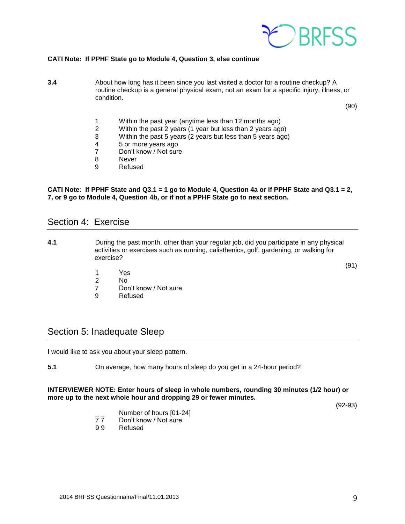

#### **CATI Note: If PPHF State go to Module 4, Question 3, else continue**

**3.4** About how long has it been since you last visited a doctor for a routine checkup? A routine checkup is a general physical exam, not an exam for a specific injury, illness, or condition.

(90)

- 1 Within the past year (anytime less than 12 months ago)<br>2 Within the past 2 years (1 year but less than 2 years ago
- 2 Within the past 2 years (1 year but less than 2 years ago)
- 3 Within the past 5 years (2 years but less than 5 years ago)
- 4 5 or more years ago
- 7 Don't know / Not sure
- 8 Never
- 9 Refused

#### **CATI Note: If PPHF State and Q3.1 = 1 go to Module 4, Question 4a or if PPHF State and Q3.1 = 2, 7, or 9 go to Module 4, Question 4b, or if not a PPHF State go to next section.**

## <span id="page-8-0"></span>Section 4: Exercise

**4.1** During the past month, other than your regular job, did you participate in any physical activities or exercises such as running, calisthenics, golf, gardening, or walking for exercise?

(91)

- 1 Yes
- N<sub>o</sub>
- 7 Don't know / Not sure
- 9 Refused

# <span id="page-8-1"></span>Section 5: Inadequate Sleep

I would like to ask you about your sleep pattern.

**5.1** On average, how many hours of sleep do you get in a 24-hour period?

**INTERVIEWER NOTE: Enter hours of sleep in whole numbers, rounding 30 minutes (1/2 hour) or more up to the next whole hour and dropping 29 or fewer minutes.** 

(92-93)

- Number of hours [01-24]
- 7 7 Don't know / Not sure
- 9 9 Refused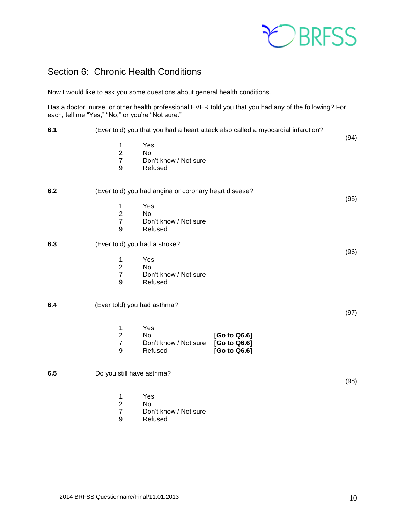

# <span id="page-9-0"></span>Section 6: Chronic Health Conditions

Now I would like to ask you some questions about general health conditions.

Has a doctor, nurse, or other health professional EVER told you that you had any of the following? For each, tell me "Yes," "No," or you're "Not sure."

| 6.1 |                                                                                                      | (Ever told) you that you had a heart attack also called a myocardial infarction? |      |
|-----|------------------------------------------------------------------------------------------------------|----------------------------------------------------------------------------------|------|
|     | Yes<br>1<br>$\boldsymbol{2}$<br><b>No</b><br>$\overline{7}$<br>Don't know / Not sure<br>9<br>Refused |                                                                                  | (94) |
| 6.2 | (Ever told) you had angina or coronary heart disease?                                                |                                                                                  | (95) |
|     | Yes<br>1                                                                                             |                                                                                  |      |
|     | $\overline{2}$<br>No<br>$\overline{7}$<br>Don't know / Not sure                                      |                                                                                  |      |
|     | 9<br>Refused                                                                                         |                                                                                  |      |
| 6.3 | (Ever told) you had a stroke?                                                                        |                                                                                  | (96) |
|     | Yes<br>1                                                                                             |                                                                                  |      |
|     | $\overline{2}$<br><b>No</b>                                                                          |                                                                                  |      |
|     | $\overline{7}$<br>Don't know / Not sure                                                              |                                                                                  |      |
|     | 9<br>Refused                                                                                         |                                                                                  |      |
| 6.4 | (Ever told) you had asthma?                                                                          |                                                                                  | (97) |
|     | Yes<br>$\mathbf{1}$                                                                                  |                                                                                  |      |
|     | $\overline{c}$<br><b>No</b>                                                                          | [Go to Q6.6]                                                                     |      |
|     | $\overline{7}$<br>Don't know / Not sure                                                              | [Go to Q6.6]                                                                     |      |
|     | 9<br>Refused                                                                                         | [Go to Q6.6]                                                                     |      |
| 6.5 | Do you still have asthma?                                                                            |                                                                                  |      |
|     |                                                                                                      |                                                                                  | (98) |
|     | Yes<br>1                                                                                             |                                                                                  |      |
|     | $\overline{2}$<br>No                                                                                 |                                                                                  |      |
|     | $\overline{7}$<br>Don't know / Not sure                                                              |                                                                                  |      |
|     | $\boldsymbol{9}$<br>Refused                                                                          |                                                                                  |      |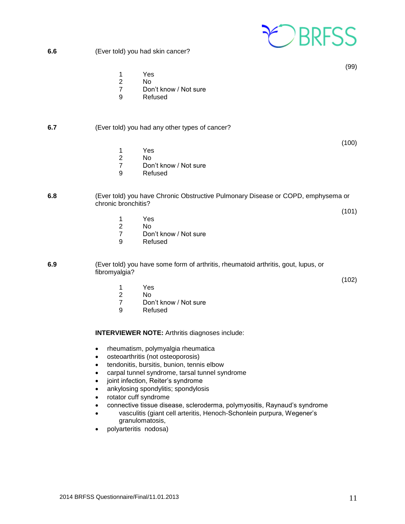

(99)

(100)

(102)

**6.6** (Ever told) you had skin cancer?

1 Yes

- 2 No
- 7 Don't know / Not sure
- 9 Refused

### **6.7** (Ever told) you had any other types of cancer?

- 1 Yes
- 2 No
- 7 Don't know / Not sure
- 9 Refused

#### **6.8** (Ever told) you have Chronic Obstructive Pulmonary Disease or COPD, emphysema or chronic bronchitis? (101)

- 1 Yes<br>2 No
- 2 No<br>7 Dor
- Don't know / Not sure
- 9 Refused

**6.9** (Ever told) you have some form of arthritis, rheumatoid arthritis, gout, lupus, or fibromyalgia?

1 Yes

- 2 No
- 7 Don't know / Not sure
- 9 Refused

**INTERVIEWER NOTE:** Arthritis diagnoses include:

- rheumatism, polymyalgia rheumatica
- osteoarthritis (not osteoporosis)
- **•** tendonitis, bursitis, bunion, tennis elbow
- carpal tunnel syndrome, tarsal tunnel syndrome
- joint infection, Reiter's syndrome
- ankylosing spondylitis; spondylosis
- rotator cuff syndrome
- connective tissue disease, scleroderma, polymyositis, Raynaud's syndrome
- vasculitis (giant cell arteritis, Henoch-Schonlein purpura, Wegener's granulomatosis,
- polyarteritis nodosa)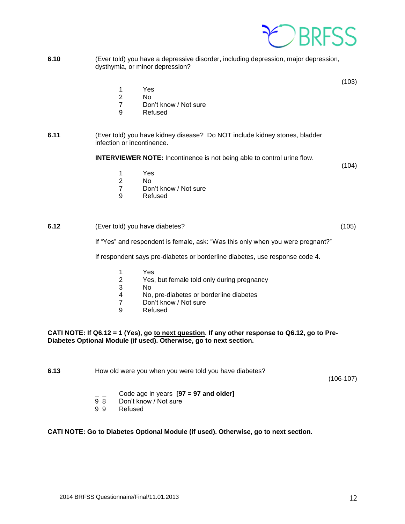

**6.10** (Ever told) you have a depressive disorder, including depression, major depression, dysthymia, or minor depression?

(103)

- 1 Yes
- 2 No
- 7 Don't know / Not sure
- 9 Refused
- **6.11** (Ever told) you have kidney disease? Do NOT include kidney stones, bladder infection or incontinence.

**INTERVIEWER NOTE:** Incontinence is not being able to control urine flow.

(104)

- 1 Yes
- 2 No
- 7 Don't know / Not sure
- 9 Refused

#### **6.12** (Ever told) you have diabetes? (105)

If "Yes" and respondent is female, ask: "Was this only when you were pregnant?"

If respondent says pre-diabetes or borderline diabetes, use response code 4.

- 1 Yes
- 2 Yes, but female told only during pregnancy
- 3 No
- 4 No, pre-diabetes or borderline diabetes
- 7 Don't know / Not sure
- 9 Refused

#### **CATI NOTE: If Q6.12 = 1 (Yes), go to next question. If any other response to Q6.12, go to Pre-Diabetes Optional Module (if used). Otherwise, go to next section.**

**6.13** How old were you when you were told you have diabetes?

(106-107)

- \_ \_ Code age in years **[97 = 97 and older]**
- Don't know / Not sure
- 9 9 Refused

#### **CATI NOTE: Go to Diabetes Optional Module (if used). Otherwise, go to next section.**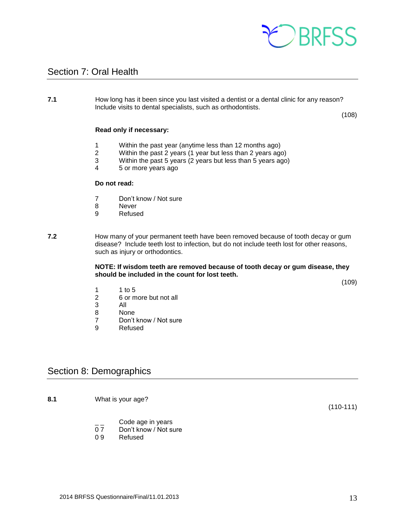

# <span id="page-12-0"></span>Section 7: Oral Health

**7.1** How long has it been since you last visited a dentist or a dental clinic for any reason? Include visits to dental specialists, such as orthodontists.

(108)

#### **Read only if necessary:**

- 1 Within the past year (anytime less than 12 months ago)
- 2 Within the past 2 years (1 year but less than 2 years ago)
- Within the past 5 years (2 years but less than 5 years ago)
- 4 5 or more years ago

#### **Do not read:**

- 7 Don't know / Not sure
- 8 Never
- 9 Refused
- **7.2** How many of your permanent teeth have been removed because of tooth decay or gum disease? Include teeth lost to infection, but do not include teeth lost for other reasons, such as injury or orthodontics.

#### **NOTE: If wisdom teeth are removed because of tooth decay or gum disease, they should be included in the count for lost teeth.**

(109)

- 1 1 to 5
- 2 6 or more but not all
- 3 All
- 8 None
- 7 Don't know / Not sure
- 9 Refused

# <span id="page-12-1"></span>Section 8: Demographics

**8.1** What is your age?

(110-111)

- $\frac{1}{2}$  Code age in years<br>0 7 Don't know / Not su
- 0 7 Don't know / Not sure<br>0 9 Refused
- **Refused**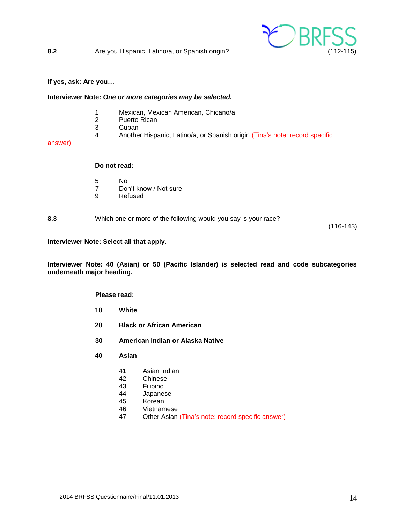

#### **If yes, ask: Are you…**

#### **Interviewer Note:** *One or more categories may be selected.*

- 1 Mexican, Mexican American, Chicano/a
- Puerto Rican
- 3 Cuban<br>4 Anothe
	- 4 Another Hispanic, Latino/a, or Spanish origin (Tina's note: record specific

#### answer)

#### **Do not read:**

- 5 No
- Don't know / Not sure
- 9 Refused

#### **8.3** Which one or more of the following would you say is your race?

(116-143)

#### **Interviewer Note: Select all that apply.**

**Interviewer Note: 40 (Asian) or 50 (Pacific Islander) is selected read and code subcategories underneath major heading.**

#### **Please read:**

- **10 White**
- **20 Black or African American**
- **30 American Indian or Alaska Native**
- **40 Asian**
	- 41 Asian Indian
	- 42 Chinese
	- 43 Filipino<br>44 Japanes
	- Japanese
	- 45 Korean
	- 46 Vietnamese
	- 47 Other Asian (Tina's note: record specific answer)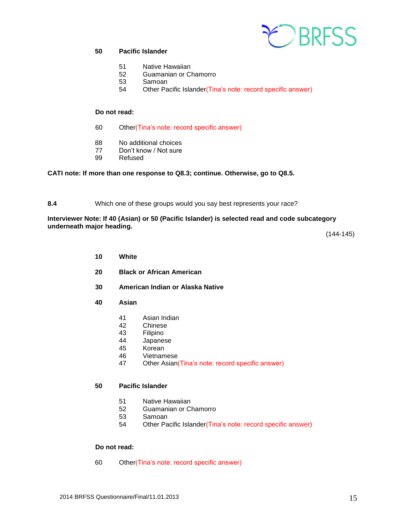

### **Pacific Islander**

- Native Hawaiian
- Guamanian or Chamorro
- Samoan
- Other Pacific Islander(Tina's note: record specific answer)

#### **Do not read:**

- Other(Tina's note: record specific answer)
- No additional choices
- Don't know / Not sure
- Refused

#### **CATI note: If more than one response to Q8.3; continue. Otherwise, go to Q8.5.**

**8.4** Which one of these groups would you say best represents your race?

#### **Interviewer Note: If 40 (Asian) or 50 (Pacific Islander) is selected read and code subcategory underneath major heading.**

(144-145)

- **White**
- **Black or African American**
- **American Indian or Alaska Native**
- **Asian**
	- Asian Indian
	- Chinese
	- Filipino
	- Japanese
	- Korean
	- Vietnamese
	- Other Asian(Tina's note: record specific answer)

### **Pacific Islander**

- Native Hawaiian
- Guamanian or Chamorro
- Samoan
- Other Pacific Islander(Tina's note: record specific answer)

### **Do not read:**

Other(Tina's note: record specific answer)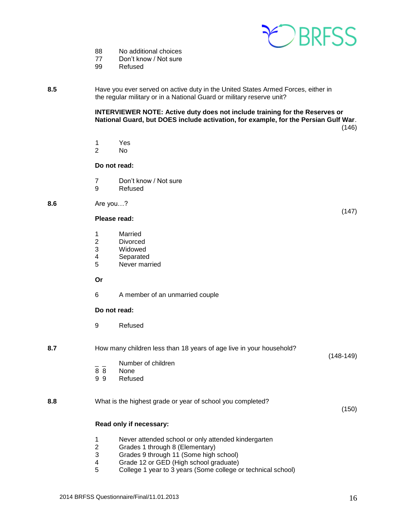

- 88 No additional choices
- 77 Don't know / Not sure
- 99 Refused

**8.5** Have you ever served on active duty in the United States Armed Forces, either in the regular military or in a National Guard or military reserve unit?

> **INTERVIEWER NOTE: Active duty does not include training for the Reserves or National Guard, but DOES include activation, for example, for the Persian Gulf War**. (146)

- 1 Yes
- 2 No

#### **Do not read:**

- 7 Don't know / Not sure
- 9 Refused

#### **8.6** Are you…?

#### **Please read:**

- 1 Married
- 2 Divorced
- 3 Widowed
- 4 Separated
- 5 Never married

#### **Or**

6 A member of an unmarried couple

#### **Do not read:**

9 Refused

| 8.7 | How many children less than 18 years of age live in your household? |                                       |             |
|-----|---------------------------------------------------------------------|---------------------------------------|-------------|
|     | 88<br>99                                                            | Number of children<br>None<br>Refused | $(148-149)$ |

## **8.8** What is the highest grade or year of school you completed?

#### (150)

(147)

#### **Read only if necessary:**

- 1 Never attended school or only attended kindergarten
- 2 Grades 1 through 8 (Elementary)<br>3 Grades 9 through 11 (Some high
- 3 Grades 9 through 11 (Some high school)
- Grade 12 or GED (High school graduate)
- 5 College 1 year to 3 years (Some college or technical school)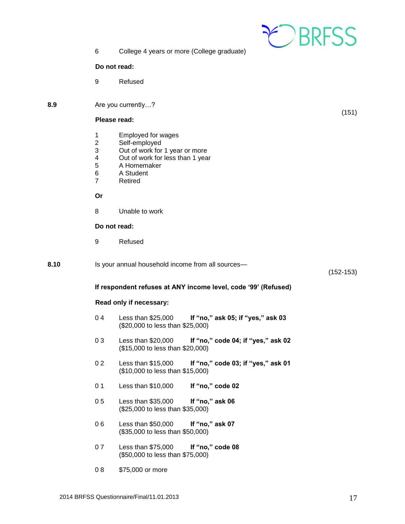

6 College 4 years or more (College graduate)

#### **Do not read:**

9 Refused

#### **8.9** Are you currently…?

#### **Please read:**

- 1 Employed for wages<br>2 Self-employed
- Self-employed
- 3 Out of work for 1 year or more<br>4 Out of work for less than 1 yea
- 4 Out of work for less than 1 year<br>5 A Homemaker
- 5 A Homemaker
- 6 A Student
- 7 Retired

#### **Or**

8 Unable to work

#### **Do not read:**

- 9 Refused
- **8.10** Is your annual household income from all sources—

(152-153)

(151)

### **If respondent refuses at ANY income level, code '99' (Refused)**

#### **Read only if necessary:**

- 0 4 Less than \$25,000 **If "no," ask 05; if "yes," ask 03** (\$20,000 to less than \$25,000)
- 0 3 Less than \$20,000 **If "no," code 04; if "yes," ask 02** (\$15,000 to less than \$20,000)
- 0 2 Less than \$15,000 **If "no," code 03; if "yes," ask 01** (\$10,000 to less than \$15,000)
- 0 1 Less than \$10,000 **If "no," code 02**
- 0 5 Less than \$35,000 **If "no," ask 06** (\$25,000 to less than \$35,000)
- 0 6 Less than \$50,000 **If "no," ask 07** (\$35,000 to less than \$50,000)
- 0 7 Less than \$75,000 **If "no," code 08** (\$50,000 to less than \$75,000)
- 0 8 \$75,000 or more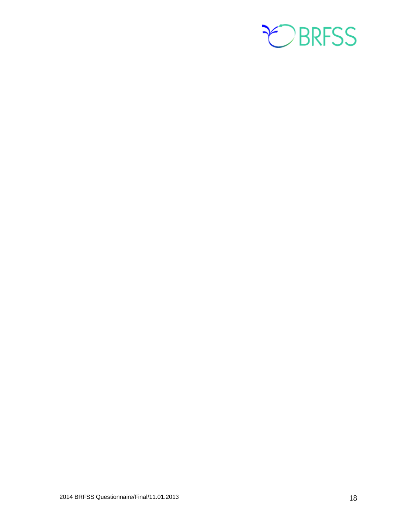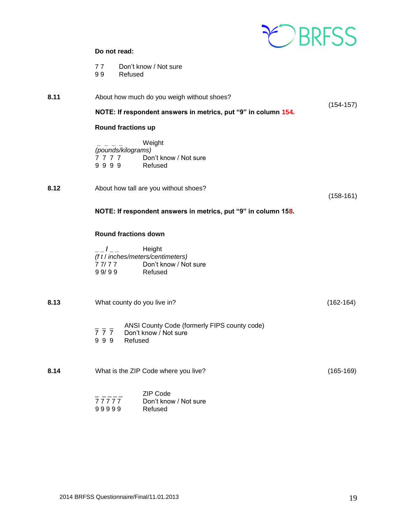

### **Do not read:**

9 9 Refused

| 8.11 |                                                                           | About how much do you weigh without shoes?<br>NOTE: If respondent answers in metrics, put "9" in column 154. | $(154-157)$   |
|------|---------------------------------------------------------------------------|--------------------------------------------------------------------------------------------------------------|---------------|
|      | <b>Round fractions up</b><br>(pounds/kilograms)<br>9999                   | Weight<br>7 7 7 7 Don't know / Not sure<br>Refused                                                           |               |
| 8.12 |                                                                           | About how tall are you without shoes?                                                                        | $(158-161)$   |
|      |                                                                           | NOTE: If respondent answers in metrics, put "9" in column 158.                                               |               |
|      | <b>Round fractions down</b>                                               |                                                                                                              |               |
|      | _ _ <b>/</b> _ _    Height<br>$(t t)$ inches/meters/centimeters)<br>99/99 | 77/77 Don't know / Not sure<br>Refused                                                                       |               |
| 8.13 | What county do you live in?                                               |                                                                                                              | $(162 - 164)$ |
|      | 999 Refused                                                               | - - ANSI County Code (formerly FIPS county code)<br>7 7 7 Don't know / Not sure                              |               |
| 8.14 |                                                                           | What is the ZIP Code where you live?                                                                         | $(165-169)$   |
|      | 77777<br>99999                                                            | <b>ZIP Code</b><br>Don't know / Not sure<br>Refused                                                          |               |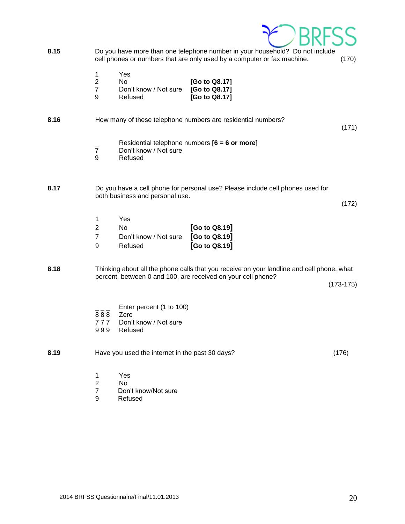

9 Refused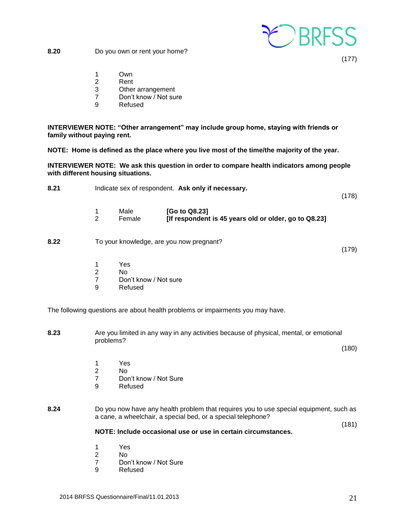

**8.20** Do you own or rent your home?

(177)

- 1 Own
- 2 Rent
- 3 Other arrangement
- 7 Don't know / Not sure
- 9 Refused

**INTERVIEWER NOTE: "Other arrangement" may include group home, staying with friends or family without paying rent.**

**NOTE: Home is defined as the place where you live most of the time/the majority of the year.** 

**INTERVIEWER NOTE: We ask this question in order to compare health indicators among people with different housing situations.**

- **8.21** Indicate sex of respondent. **Ask only if necessary.** (178) 1 Male **[Go to Q8.23]**
	- 2 Female **[If respondent is 45 years old or older, go to Q8.23]**
- **8.22** To your knowledge, are you now pregnant?

(179)

- 1 Yes
- 2 No
- 7 Don't know / Not sure
- 9 Refused

The following questions are about health problems or impairments you may have.

- **8.23** Are you limited in any way in any activities because of physical, mental, or emotional problems? (180)
	-
	- 1 Yes  $No$
	- 7 Don't know / Not Sure
	- 9 Refused

#### **8.24** Do you now have any health problem that requires you to use special equipment, such as a cane, a wheelchair, a special bed, or a special telephone?

#### **NOTE: Include occasional use or use in certain circumstances.**

- 1 Yes
- N<sub>o</sub>
- 7 Don't know / Not Sure
- 9 Refused

(181)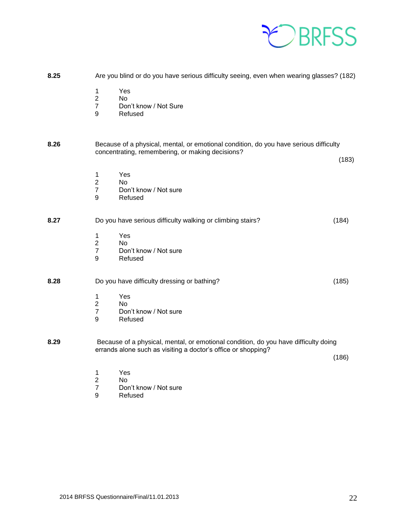

| 8.25 |                                                       | Are you blind or do you have serious difficulty seeing, even when wearing glasses? (182)                                                             |       |
|------|-------------------------------------------------------|------------------------------------------------------------------------------------------------------------------------------------------------------|-------|
|      | $\mathbf{1}$<br>$\overline{c}$<br>$\overline{7}$<br>9 | Yes<br><b>No</b><br>Don't know / Not Sure<br>Refused                                                                                                 |       |
| 8.26 |                                                       | Because of a physical, mental, or emotional condition, do you have serious difficulty<br>concentrating, remembering, or making decisions?            | (183) |
|      | 1<br>$\overline{2}$<br>$\overline{7}$<br>9            | Yes<br>No<br>Don't know / Not sure<br>Refused                                                                                                        |       |
| 8.27 |                                                       | Do you have serious difficulty walking or climbing stairs?                                                                                           | (184) |
|      | $\mathbf 1$<br>$\overline{c}$<br>$\overline{7}$<br>9  | Yes<br><b>No</b><br>Don't know / Not sure<br>Refused                                                                                                 |       |
| 8.28 |                                                       | Do you have difficulty dressing or bathing?                                                                                                          | (185) |
|      | $\mathbf{1}$<br>$\overline{2}$<br>$\overline{7}$<br>9 | Yes<br><b>No</b><br>Don't know / Not sure<br>Refused                                                                                                 |       |
| 8.29 |                                                       | Because of a physical, mental, or emotional condition, do you have difficulty doing<br>errands alone such as visiting a doctor's office or shopping? | (186) |
|      | 1                                                     | Yes                                                                                                                                                  |       |

- 2 No<br>7 Dor
- 7 Don't know / Not sure<br>9 Refused
- **Refused**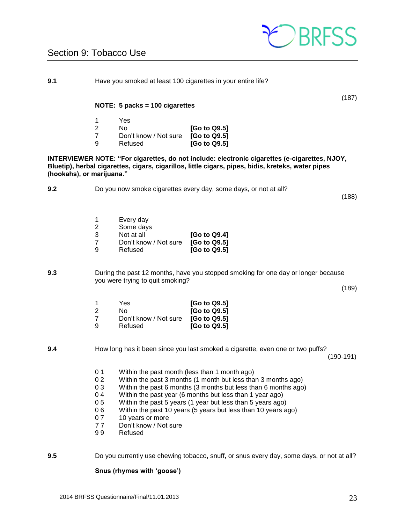

# <span id="page-22-0"></span>Section 9: Tobacco Use

**9.1** Have you smoked at least 100 cigarettes in your entire life?

#### **NOTE: 5 packs = 100 cigarettes**

|    | Yes                   |              |
|----|-----------------------|--------------|
| 2  | N٥                    | [Go to Q9.5] |
|    | Don't know / Not sure | [Go to Q9.5] |
| -9 | Refused               | [Go to Q9.5] |

**INTERVIEWER NOTE: "For cigarettes, do not include: electronic cigarettes (e-cigarettes, NJOY, Bluetip), herbal cigarettes, cigars, cigarillos, little cigars, pipes, bidis, kreteks, water pipes (hookahs), or marijuana."**

**9.2** Do you now smoke cigarettes every day, some days, or not at all?

(188)

(187)

| 1 | Every day             |                                       |
|---|-----------------------|---------------------------------------|
| 2 | Some days             |                                       |
| 3 | Not at all            | [G <sub>o</sub> to Q <sub>9.4</sub> ] |
| 7 | Don't know / Not sure | [Go to Q9.5]                          |
| 9 | Refused               | [Go to Q9.5]                          |
|   |                       |                                       |

**9.3** During the past 12 months, have you stopped smoking for one day or longer because you were trying to quit smoking?

(189)

|               | Yes                   | [Go to Q9.5] |
|---------------|-----------------------|--------------|
| $\mathcal{P}$ | Nο                    | [Go to Q9.5] |
|               | Don't know / Not sure | [Go to Q9.5] |
| -9            | Refused               | [Go to Q9.5] |

**9.4** How long has it been since you last smoked a cigarette, even one or two puffs?

(190-191)

- 0 1 Within the past month (less than 1 month ago)
- 0 2 Within the past 3 months (1 month but less than 3 months ago)<br>0 3 Within the past 6 months (3 months but less than 6 months ago)
- Within the past 6 months (3 months but less than 6 months ago)
- 0 4 Within the past year (6 months but less than 1 year ago)
- 0 5 Within the past 5 years (1 year but less than 5 years ago)
- 0 6 Within the past 10 years (5 years but less than 10 years ago)
- 0 7 10 years or more<br>7 7 Don't know / Not s
- 77 Don't know / Not sure<br>99 Refused
- **Refused**

**9.5** Do you currently use chewing tobacco, snuff, or snus every day, some days, or not at all?

**Snus (rhymes with 'goose')**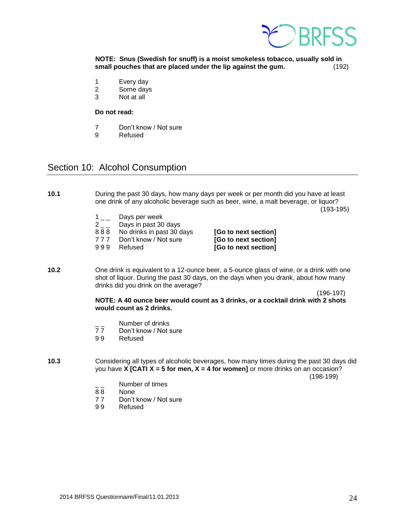

**NOTE: Snus (Swedish for snuff) is a moist smokeless tobacco, usually sold in small pouches that are placed under the lip against the gum.** (192)

- 1 Every day
- 2 Some days
- 3 Not at all

#### **Do not read:**

- 7 Don't know / Not sure
- 9 Refused

# <span id="page-23-0"></span>Section 10: Alcohol Consumption

**10.1** During the past 30 days, how many days per week or per month did you have at least one drink of any alcoholic beverage such as beer, wine, a malt beverage, or liquor? (193-195)

- $1_{--}$  Days per week
- $2 \quad \_$  Days in past 30 days
- 8 8 8 No drinks in past 30 days **[Go to next section]**
- 7 7 7 Don't know / Not sure **[Go to next section]**
- 

9 9 9 Refused **[Go to next section]**

**10.2** One drink is equivalent to a 12-ounce beer, a 5-ounce glass of wine, or a drink with one shot of liquor. During the past 30 days, on the days when you drank, about how many drinks did you drink on the average?

> **NOTE: A 40 ounce beer would count as 3 drinks, or a cocktail drink with 2 shots would count as 2 drinks.**

- Number of drinks
- 7 7 Don't know / Not sure
- 9 9 Refused

**10.3** Considering all types of alcoholic beverages, how many times during the past 30 days did you have **X [CATI X = 5 for men, X = 4 for women]** or more drinks on an occasion?

(198-199)

(196-197)

- Number of times
- 8 8 None
- 77 Don't know / Not sure
- 9 9 Refused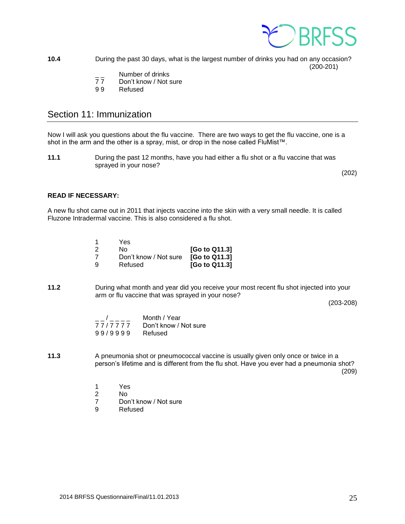

**10.4** During the past 30 days, what is the largest number of drinks you had on any occasion? (200-201)

- Number of drinks
- 7 7 Don't know / Not sure
- 9 9 Refused

# <span id="page-24-0"></span>Section 11: Immunization

Now I will ask you questions about the flu vaccine. There are two ways to get the flu vaccine, one is a shot in the arm and the other is a spray, mist, or drop in the nose called FluMist™.

**11.1** During the past 12 months, have you had either a flu shot or a flu vaccine that was sprayed in your nose?

(202)

### **READ IF NECESSARY:**

A new flu shot came out in 2011 that injects vaccine into the skin with a very small needle. It is called Fluzone Intradermal vaccine. This is also considered a flu shot.

|     | Yes                   |               |
|-----|-----------------------|---------------|
| - 2 | N٥                    | [Go to Q11.3] |
|     | Don't know / Not sure | [Go to Q11.3] |
| 9   | Refused               | [Go to Q11.3] |

**11.2** During what month and year did you receive your most recent flu shot injected into your arm or flu vaccine that was sprayed in your nose?

(203-208)

| $\overline{\phantom{a}}$ | Month / Year          |
|--------------------------|-----------------------|
| 77/7777                  | Don't know / Not sure |
| 99/9999                  | Refused               |

**11.3** A pneumonia shot or pneumococcal vaccine is usually given only once or twice in a person's lifetime and is different from the flu shot. Have you ever had a pneumonia shot? (209)

- 1 Yes
- 2 No<br>7 Dor
- Don't know / Not sure
- 9 Refused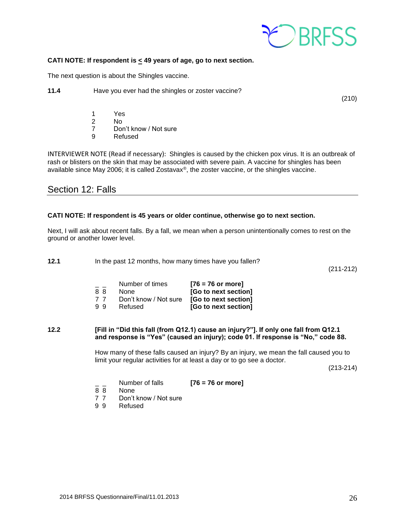

#### **CATI NOTE: If respondent is < 49 years of age, go to next section.**

The next question is about the Shingles vaccine.

**11.4** Have you ever had the shingles or zoster vaccine?

(210)

- 1 Yes
- 2 No
	- 7 Don't know / Not sure
	- 9 Refused

INTERVIEWER NOTE (Read if necessary): Shingles is caused by the chicken pox virus. It is an outbreak of rash or blisters on the skin that may be associated with severe pain. A vaccine for shingles has been available since May 2006; it is called Zostavax<sup>®</sup>, the zoster vaccine, or the shingles vaccine.

# Section 12: Falls

#### **CATI NOTE: If respondent is 45 years or older continue, otherwise go to next section.**

Next, I will ask about recent falls. By a fall, we mean when a person unintentionally comes to rest on the ground or another lower level.

**12.1** In the past 12 months, how many times have you fallen?

(211-212)

|    | Number of times       | $[76 = 76$ or more]  |
|----|-----------------------|----------------------|
| 88 | None                  | [Go to next section] |
| 77 | Don't know / Not sure | [Go to next section] |
| 99 | Refused               | [Go to next section] |

#### **12.2 [Fill in "Did this fall (from Q12.1) cause an injury?"]. If only one fall from Q12.1 and response is "Yes" (caused an injury); code 01. If response is "No," code 88.**

How many of these falls caused an injury? By an injury, we mean the fall caused you to limit your regular activities for at least a day or to go see a doctor.

(213-214)

|    | Number of falls | $[76 = 76$ or more] |
|----|-----------------|---------------------|
| 88 | None            |                     |

- 7 7 Don't know / Not sure
- 9 9 Refused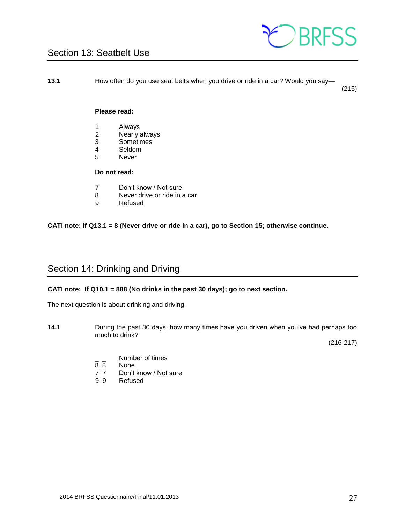

# <span id="page-26-0"></span>Section 13: Seatbelt Use

**13.1** How often do you use seat belts when you drive or ride in a car? Would you say—

(215)

#### **Please read:**

- 1 Always<br>2 Nearly a
- Nearly always
- 3 Sometimes
- 4 Seldom<br>5 Never
- **Never**

## **Do not read:**

- 7 Don't know / Not sure
- 8 Never drive or ride in a car
- 9 Refused

### **CATI note: If Q13.1 = 8 (Never drive or ride in a car), go to Section 15; otherwise continue.**

# <span id="page-26-1"></span>Section 14: Drinking and Driving

#### **CATI note: If Q10.1 = 888 (No drinks in the past 30 days); go to next section.**

The next question is about drinking and driving.

**14.1** During the past 30 days, how many times have you driven when you've had perhaps too much to drink?

(216-217)

- $\frac{1}{8}$   $\frac{1}{8}$  Number of times
- None
- 7 7 Don't know / Not sure
- 9 9 Refused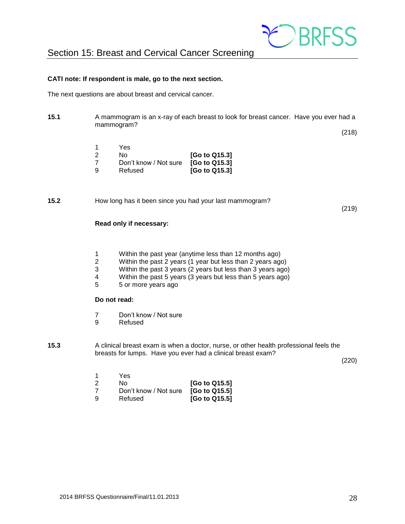

<span id="page-27-0"></span>Section 15: Breast and Cervical Cancer Screening

#### **CATI note: If respondent is male, go to the next section.**

The next questions are about breast and cervical cancer.

**15.1** A mammogram is an x-ray of each breast to look for breast cancer. Have you ever had a mammogram?

(218)

1 Yes No **[Go to Q15.3]** Don't know / Not sure **[Go to Q15.3]** Refused **[Go to Q15.3]**

**15.2** How long has it been since you had your last mammogram?

(219)

#### **Read only if necessary:**

- 1 Within the past year (anytime less than 12 months ago)
- 2 Within the past 2 years (1 year but less than 2 years ago)
- 3 Within the past 3 years (2 years but less than 3 years ago)
- 4 Within the past 5 years (3 years but less than 5 years ago)<br>5 5 or more vears ago
- 5 5 or more years ago

### **Do not read:**

- 7 Don't know / Not sure
- 9 Refused
- **15.3** A clinical breast exam is when a doctor, nurse, or other health professional feels the breasts for lumps. Have you ever had a clinical breast exam?

(220)

|    | Yes                   |               |
|----|-----------------------|---------------|
| -2 | N٥                    | [Go to Q15.5] |
|    | Don't know / Not sure | [Go to Q15.5] |
| -9 | Refused               | [Go to Q15.5] |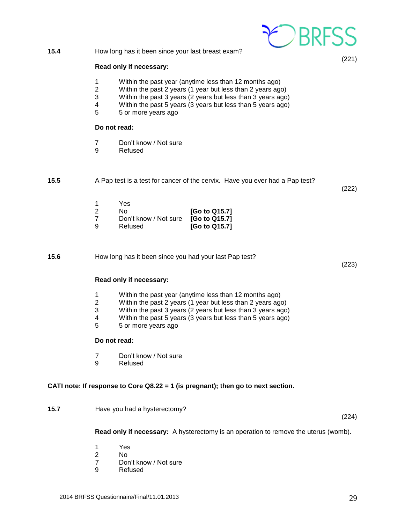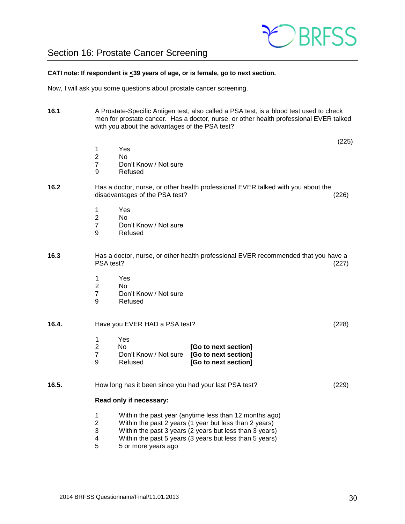

# <span id="page-29-0"></span>Section 16: Prostate Cancer Screening

#### **CATI note: If respondent is <39 years of age, or is female, go to next section.**

Now, I will ask you some questions about prostate cancer screening.

| 16.1 | A Prostate-Specific Antigen test, also called a PSA test, is a blood test used to check |
|------|-----------------------------------------------------------------------------------------|
|      | men for prostate cancer. Has a doctor, nurse, or other health professional EVER talked  |
|      | with you about the advantages of the PSA test?                                          |

(225) 1 Yes 2 No 7 Don't Know / Not sure 9 Refused **16.2** Has a doctor, nurse, or other health professional EVER talked with you about the disadvantages of the PSA test? (226) 1 Yes 2 No 7 Don't Know / Not sure<br>9 Refused **Refused 16.3** Has a doctor, nurse, or other health professional EVER recommended that you have a PSA test? (227) 1 Yes<br>2 No N<sub>o</sub> 7 Don't Know / Not sure 9 Refused **16.4.** Have you EVER HAD a PSA test? (228) 1 Yes 2 No **[Go to next section]** 7 Don't Know / Not sure **[Go to next section]** 9 Refused **[Go to next section] 16.5.** How long has it been since you had your last PSA test? (229) **Read only if necessary:** 1 Within the past year (anytime less than 12 months ago) 2 Within the past 2 years (1 year but less than 2 years) 3 Within the past 3 years (2 years but less than 3 years) 4 Within the past 5 years (3 years but less than 5 years) 5 5 or more years ago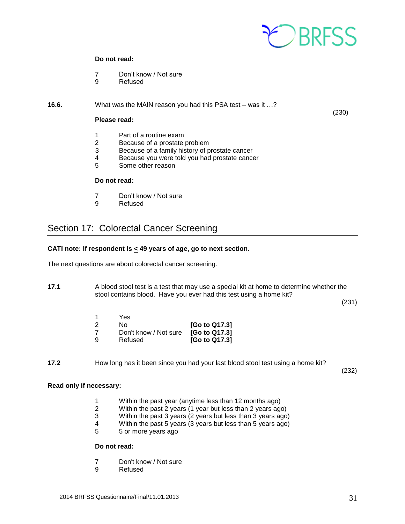

(230)

#### **Do not read:**

- 7 Don't know / Not sure
- 9 Refused
- **16.6.** What was the MAIN reason you had this PSA test was it …?

#### **Please read:**

- 1 Part of a routine exam<br>2 Because of a prostate
- Because of a prostate problem
- 3 Because of a family history of prostate cancer
- 4 Because you were told you had prostate cancer<br>5 Some other reason
- Some other reason

#### **Do not read:**

- 7 Don't know / Not sure<br>9 Refused
- **Refused**

# <span id="page-30-0"></span>Section 17: Colorectal Cancer Screening

#### **CATI note: If respondent is < 49 years of age, go to next section.**

The next questions are about colorectal cancer screening.

**17.1** A blood stool test is a test that may use a special kit at home to determine whether the stool contains blood. Have you ever had this test using a home kit?

(231)

| 1  | Yes.                  |               |
|----|-----------------------|---------------|
| -2 | N٥                    | [Go to Q17.3] |
| -7 | Don't know / Not sure | [Go to Q17.3] |
| 9  | Refused               | [Go to Q17.3] |

**17.2** How long has it been since you had your last blood stool test using a home kit?

(232)

#### **Read only if necessary:**

- 1 Within the past year (anytime less than 12 months ago)
- 2 Within the past 2 years (1 year but less than 2 years ago)
- 3 Within the past 3 years (2 years but less than 3 years ago)
- 4 Within the past 5 years (3 years but less than 5 years ago)
- 5 5 or more years ago

#### **Do not read:**

- 7 Don't know / Not sure
- 9 Refused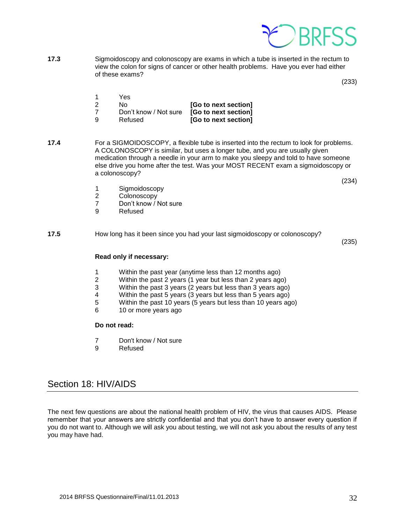

**17.3** Sigmoidoscopy and colonoscopy are exams in which a tube is inserted in the rectum to view the colon for signs of cancer or other health problems. Have you ever had either of these exams?

(233)

|     | r es                  |                      |
|-----|-----------------------|----------------------|
| - 2 | No.                   | [Go to next section] |
|     | Don't know / Not sure | [Go to next section] |
| - 9 | Refused               | [Go to next section] |

**17.4** For a SIGMOIDOSCOPY, a flexible tube is inserted into the rectum to look for problems. A COLONOSCOPY is similar, but uses a longer tube, and you are usually given medication through a needle in your arm to make you sleepy and told to have someone else drive you home after the test. Was your MOST RECENT exam a sigmoidoscopy or a colonoscopy?

(234)

- 1 Sigmoidoscopy
- 2 Colonoscopy

 $\sqrt{1 + 1}$ 

- 7 Don't know / Not sure<br>9 Refused
- **Refused**
- **17.5** How long has it been since you had your last sigmoidoscopy or colonoscopy?

(235)

#### **Read only if necessary:**

- 1 Within the past year (anytime less than 12 months ago)
- 2 Within the past 2 years (1 year but less than 2 years ago)
- 3 Within the past 3 years (2 years but less than 3 years ago)
- 4 Within the past 5 years (3 years but less than 5 years ago)
- 5 Within the past 10 years (5 years but less than 10 years ago)
- 6 10 or more years ago

#### **Do not read:**

- 7 Don't know / Not sure
- 9 Refused

# <span id="page-31-0"></span>Section 18: HIV/AIDS

The next few questions are about the national health problem of HIV, the virus that causes AIDS. Please remember that your answers are strictly confidential and that you don't have to answer every question if you do not want to. Although we will ask you about testing, we will not ask you about the results of any test you may have had.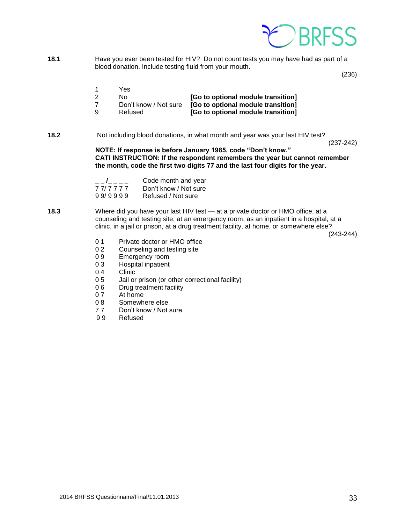

**18.1** Have you ever been tested for HIV? Do not count tests you may have had as part of a blood donation. Include testing fluid from your mouth.

(236)

- 1 Yes
- 2 No **[Go to optional module transition]**
- 7 Don't know / Not sure **[Go to optional module transition]**
- 9 Refused **[Go to optional module transition]**
- **18.2** Not including blood donations, in what month and year was your last HIV test?

(237-242)

**NOTE: If response is before January 1985, code "Don't know." CATI INSTRUCTION: If the respondent remembers the year but cannot remember the month, code the first two digits 77 and the last four digits for the year.** 

| $-1$    | Code month and year   |
|---------|-----------------------|
| 77/7777 | Don't know / Not sure |
| 99/9999 | Refused / Not sure    |

**18.3** Where did you have your last HIV test — at a private doctor or HMO office, at a counseling and testing site, at an emergency room, as an inpatient in a hospital, at a clinic, in a jail or prison, at a drug treatment facility, at home, or somewhere else?

(243-244)

- 0 1 Private doctor or HMO office<br>0 2 Counseling and testing site
- Counseling and testing site
- 0 9 Emergency room
- 0 3 Hospital inpatient
- 0 4 Clinic
- 0 5 Jail or prison (or other correctional facility)
- 0 6 Drug treatment facility
- 0 7 At home
- 08 Somewhere else
- 7 7 Don't know / Not sure
- 9 9 Refused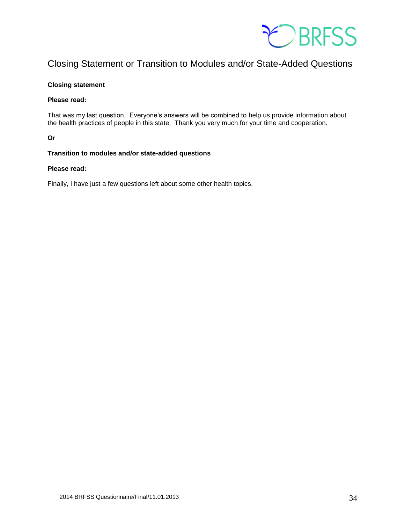

# Closing Statement or Transition to Modules and/or State-Added Questions

#### **Closing statement**

#### **Please read:**

That was my last question. Everyone's answers will be combined to help us provide information about the health practices of people in this state. Thank you very much for your time and cooperation.

#### **Or**

### **Transition to modules and/or state-added questions**

#### **Please read:**

Finally, I have just a few questions left about some other health topics.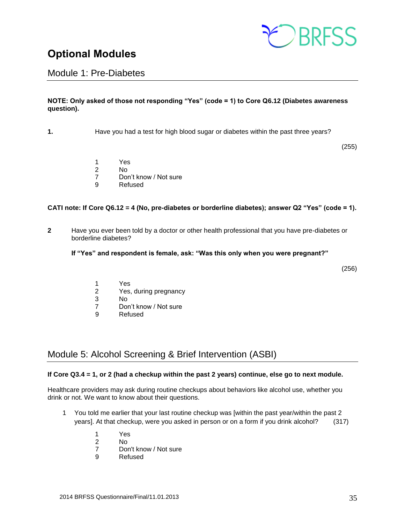

# <span id="page-34-0"></span>**Optional Modules**

# <span id="page-34-1"></span>Module 1: Pre-Diabetes

### **NOTE: Only asked of those not responding "Yes" (code = 1) to Core Q6.12 (Diabetes awareness question).**

**1.** Have you had a test for high blood sugar or diabetes within the past three years?

(255)

- 1 Yes
- 2 No
- 7 Don't know / Not sure
- 9 Refused

### **CATI note: If Core Q6.12 = 4 (No, pre-diabetes or borderline diabetes); answer Q2 "Yes" (code = 1).**

**2** Have you ever been told by a doctor or other health professional that you have pre-diabetes or borderline diabetes?

#### **If "Yes" and respondent is female, ask: "Was this only when you were pregnant?"**

(256)

- 1 Yes<br>2 Yes,
- Yes, during pregnancy
- 3 No
- Don't know / Not sure
- 9 Refused

# <span id="page-34-2"></span>Module 5: Alcohol Screening & Brief Intervention (ASBI)

#### **If Core Q3.4 = 1, or 2 (had a checkup within the past 2 years) continue, else go to next module.**

Healthcare providers may ask during routine checkups about behaviors like alcohol use, whether you drink or not. We want to know about their questions.

- 1 You told me earlier that your last routine checkup was [within the past year/within the past 2 years]. At that checkup, were you asked in person or on a form if you drink alcohol? (317)
	- 1 Yes
	- 2 No
	- 7 Don't know / Not sure
	- 9 Refused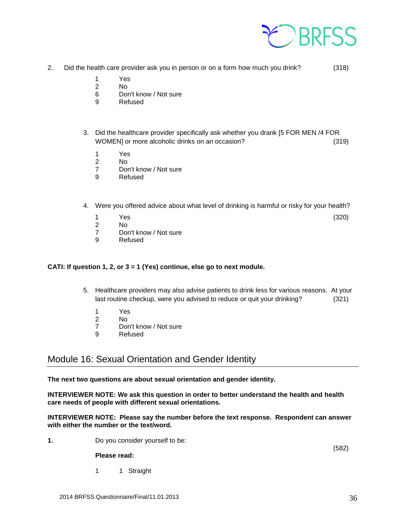

- 2. Did the health care provider ask you in person or on a form how much you drink? (318)
	- 1 Yes
	- 2 No
	- 6 Don't know / Not sure
	- 9 Refused
	- 3. Did the healthcare provider specifically ask whether you drank [5 FOR MEN /4 FOR WOMEN] or more alcoholic drinks on an occasion? (319)
		- 1 Yes
		- 2 No
		- 7 Don't know / Not sure
		- 9 Refused
	- 4. Were you offered advice about what level of drinking is harmful or risky for your health?
		- 1 Yes (320)
		- 2 No
		- 7 Don't know / Not sure
		- 9 Refused

#### **CATI: If question 1, 2, or 3 = 1 (Yes) continue, else go to next module.**

- 5. Healthcare providers may also advise patients to drink less for various reasons. At your last routine checkup, were you advised to reduce or quit your drinking? (321)
	- 1 Yes
	- 2 No
	- 7 Don't know / Not sure
	- 9 Refused

# <span id="page-35-0"></span>Module 16: Sexual Orientation and Gender Identity

**The next two questions are about sexual orientation and gender identity.**

**INTERVIEWER NOTE: We ask this question in order to better understand the health and health care needs of people with different sexual orientations.**

**INTERVIEWER NOTE: Please say the number before the text response. Respondent can answer with either the number or the text/word.** 

**1.** Do you consider yourself to be: (582)

**Please read:**

1 1 Straight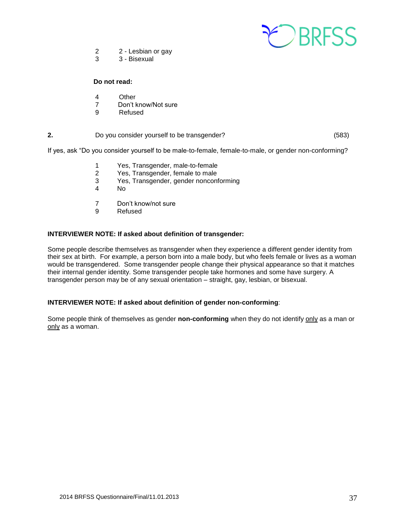

- 2 2 Lesbian or gay
- 3 3 Bisexual

#### **Do not read:**

- 4 Other
- 7 Don't know/Not sure
- 9 Refused

#### **2.** Do you consider yourself to be transgender? (583)

If yes, ask "Do you consider yourself to be male-to-female, female-to-male, or gender non-conforming?

- 1 Yes, Transgender, male-to-female
- 2 Yes, Transgender, female to male
- 3 Yes, Transgender, gender nonconforming
- 4 No
- 7 Don't know/not sure
- 9 Refused

#### **INTERVIEWER NOTE: If asked about definition of transgender:**

Some people describe themselves as transgender when they experience a different gender identity from their sex at birth. For example, a person born into a male body, but who feels female or lives as a woman would be transgendered. Some transgender people change their physical appearance so that it matches their internal gender identity. Some transgender people take hormones and some have surgery. A transgender person may be of any sexual orientation – straight, gay, lesbian, or bisexual.

#### **INTERVIEWER NOTE: If asked about definition of gender non-conforming**:

Some people think of themselves as gender **non-conforming** when they do not identify only as a man or only as a woman.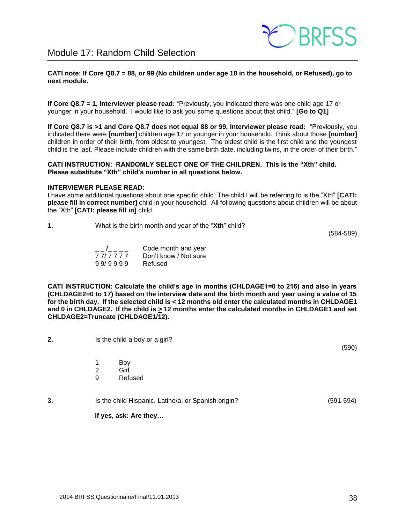### <span id="page-37-0"></span>**CATI note: If Core Q8.7 = 88, or 99 (No children under age 18 in the household, or Refused), go to next module.**

**If Core Q8.7 = 1, Interviewer please read:** "Previously, you indicated there was one child age 17 or younger in your household. I would like to ask you some questions about that child." **[Go to Q1]**

**If Core Q8.7 is >1 and Core Q8.7 does not equal 88 or 99, Interviewer please read:** "Previously, you indicated there were **[number]** children age 17 or younger in your household. Think about those **[number]** children in order of their birth, from oldest to youngest. The oldest child is the first child and the youngest child is the last. Please include children with the same birth date, including twins, in the order of their birth."

#### **CATI INSTRUCTION: RANDOMLY SELECT ONE OF THE CHILDREN. This is the "Xth" child. Please substitute "Xth" child's number in all questions below.**

#### **INTERVIEWER PLEASE READ:**

I have some additional questions about one specific child. The child I will be referring to is the "Xth" **[CATI: please fill in correct number]** child in your household. All following questions about children will be about the "Xth" **[CATI: please fill in]** child.

**1.** What is the birth month and year of the "**Xth**" child?

(584-589)

(590)

|              | Code month and year   |
|--------------|-----------------------|
| 7 7/ 7 7 7 7 | Don't know / Not sure |
| 99/9999      | Refused               |

**CATI INSTRUCTION: Calculate the child's age in months (CHLDAGE1=0 to 216) and also in years (CHLDAGE2=0 to 17) based on the interview date and the birth month and year using a value of 15 for the birth day. If the selected child is < 12 months old enter the calculated months in CHLDAGE1 and 0 in CHLDAGE2. If the child is > 12 months enter the calculated months in CHLDAGE1 and set CHLDAGE2=Truncate (CHLDAGE1/12).** 

**2.** Is the child a boy or a girl?

- 1 Boy
- 2 Girl
- 9 Refused

# **3.** Is the child Hispanic, Latino/a, or Spanish origin? (591-594)

**If yes, ask: Are they…**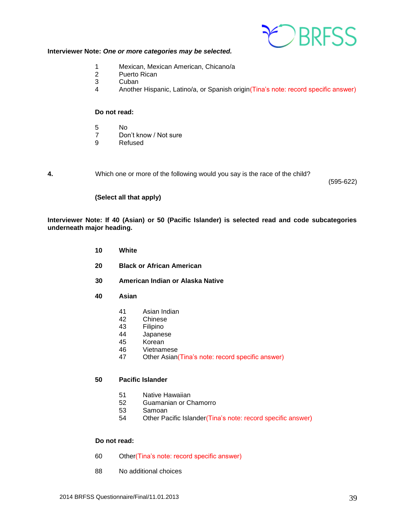

#### **Interviewer Note:** *One or more categories may be selected.*

- Mexican, Mexican American, Chicano/a
- Puerto Rican
- Cuban
- Another Hispanic, Latino/a, or Spanish origin(Tina's note: record specific answer)

#### **Do not read:**

- No
- 7 Don't know / Not sure<br>9 Refused
- **Refused**

**4.** Which one or more of the following would you say is the race of the child?

(595-622)

**(Select all that apply)**

**Interviewer Note: If 40 (Asian) or 50 (Pacific Islander) is selected read and code subcategories underneath major heading.**

- **White**
- **Black or African American**
- **American Indian or Alaska Native**
- **Asian**
	- Asian Indian
	- Chinese
	- Filipino
	- Japanese
	- Korean
	- Vietnamese
	- Other Asian(Tina's note: record specific answer)

#### **Pacific Islander**

- Native Hawaiian
- Guamanian or Chamorro
- Samoan
- Other Pacific Islander(Tina's note: record specific answer)

### **Do not read:**

- Other(Tina's note: record specific answer)
- No additional choices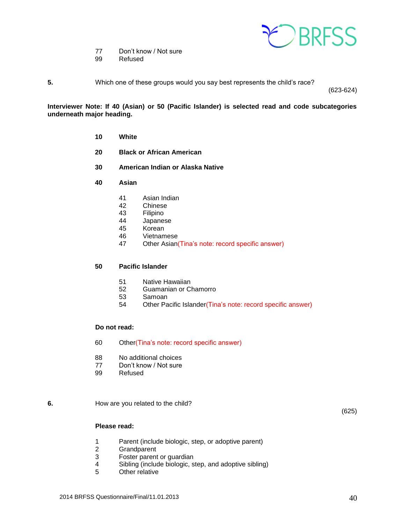

- Don't know / Not sure
- Refused

#### **5.** Which one of these groups would you say best represents the child's race?

(623-624)

**Interviewer Note: If 40 (Asian) or 50 (Pacific Islander) is selected read and code subcategories underneath major heading.**

- **White**
- **Black or African American**
- **American Indian or Alaska Native**
- **Asian**
	- Asian Indian
	- Chinese
	- Filipino
	- Japanese
	- Korean
	- Vietnamese
	- Other Asian(Tina's note: record specific answer)

### **Pacific Islander**

- Native Hawaiian
- Guamanian or Chamorro
- Samoan
- Other Pacific Islander(Tina's note: record specific answer)

#### **Do not read:**

- Other(Tina's note: record specific answer)
- No additional choices
- Don't know / Not sure
- Refused

**6.** How are you related to the child?

(625)

### **Please read:**

- Parent (include biologic, step, or adoptive parent)
- Grandparent
- Foster parent or guardian
- Sibling (include biologic, step, and adoptive sibling)
- Other relative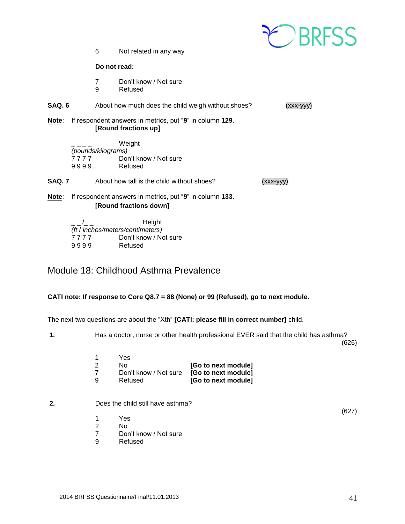

6 Not related in any way

#### **Do not read:**

- 7 Don't know / Not sure
- 9 Refused

| SAQ.6<br>About how much does the child weigh without shoes? | $(xxx$ -yyy $)$ |
|-------------------------------------------------------------|-----------------|
|-------------------------------------------------------------|-----------------|

**Note**: If respondent answers in metrics, put "**9**" in column **129**. **[Round fractions up]**

> $L_{--}$  Weight *(pounds/kilograms)* Don't know / Not sure 9 9 9 9 Refused

- **SAQ. 7** About how tall is the child without shoes? (xxx-yyy)
- **Note**: If respondent answers in metrics, put "**9**" in column **133**. **[Round fractions down]**

 $\frac{1}{2}$   $\frac{1}{2}$   $\frac{1}{2}$   $\frac{1}{2}$   $\frac{1}{2}$   $\frac{1}{2}$   $\frac{1}{2}$   $\frac{1}{2}$   $\frac{1}{2}$   $\frac{1}{2}$   $\frac{1}{2}$   $\frac{1}{2}$   $\frac{1}{2}$   $\frac{1}{2}$   $\frac{1}{2}$   $\frac{1}{2}$   $\frac{1}{2}$   $\frac{1}{2}$   $\frac{1}{2}$   $\frac{1}{2}$   $\frac{1}{2}$   $\frac{1}{2}$  *(ft* / *inches/meters/centimeters)* 7 7 7 7 Don't know / Not sure 9 9 9 9 Refused

# <span id="page-40-0"></span>Module 18: Childhood Asthma Prevalence

### **CATI note: If response to Core Q8.7 = 88 (None) or 99 (Refused), go to next module.**

The next two questions are about the "Xth" **[CATI: please fill in correct number]** child.

**1.** Has a doctor, nurse or other health professional EVER said that the child has asthma?

(626)

(627)

| 1   | Yes                   |                     |
|-----|-----------------------|---------------------|
| - 2 | No.                   | [Go to next module] |
|     | Don't know / Not sure | [Go to next module] |
| 9   | Refused               | [Go to next module] |

#### **2.** Does the child still have asthma?

- 1 Yes
- 2 No
- 7 Don't know / Not sure<br>9 Refused
- **Refused**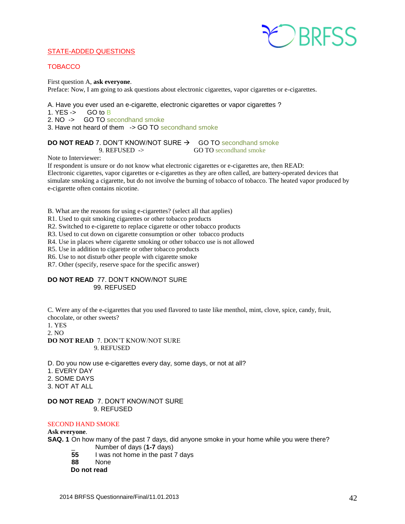## STATE-ADDED QUESTIONS



#### **TOBACCO**

First question A, **ask everyone**. Preface: Now, I am going to ask questions about electronic cigarettes, vapor cigarettes or e-cigarettes.

#### A. Have you ever used an e-cigarette, electronic cigarettes or vapor cigarettes ?

1. YES ->  $GO$  to  $B$ 

2. NO -> GO TO secondhand smoke

3. Have not heard of them -> GO TO secondhand smoke

#### **DO NOT READ** 7. DON'T KNOW/NOT SURE  $\rightarrow$  GO TO secondhand smoke

9. REFUSED -> GO TO secondhand smoke

Note to Interviewer:

If respondent is unsure or do not know what electronic cigarettes or e-cigarettes are, then READ: Electronic cigarettes, vapor cigarettes or e-cigarettes as they are often called, are battery-operated devices that simulate smoking a cigarette, but do not involve the burning of tobacco of tobacco. The heated vapor produced by e-cigarette often contains nicotine.

B. What are the reasons for using e-cigarettes? (select all that applies)

R1. Used to quit smoking cigarettes or other tobacco products

R2. Switched to e-cigarette to replace cigarette or other tobacco products

R3. Used to cut down on cigarette consumption or other tobacco products

R4. Use in places where cigarette smoking or other tobacco use is not allowed

R5. Use in addition to cigarette or other tobacco products

R6. Use to not disturb other people with cigarette smoke

R7. Other (specify, reserve space for the specific answer)

**DO NOT READ** 77. DON'T KNOW/NOT SURE 99. REFUSED

C. Were any of the e-cigarettes that you used flavored to taste like menthol, mint, clove, spice, candy, fruit, chocolate, or other sweets?

1. YES

2. NO

**DO NOT READ** 7. DON'T KNOW/NOT SURE 9. REFUSED

D. Do you now use e-cigarettes every day, some days, or not at all?

1. EVERY DAY

2. SOME DAYS

3. NOT AT ALL

#### **DO NOT READ** 7. DON'T KNOW/NOT SURE 9. REFUSED

#### SECOND HAND SMOKE

#### **Ask everyone**.

**SAQ. 1** On how many of the past 7 days, did anyone smoke in your home while you were there?

- \_ Number of days (**1-7** days)
- **55** I was not home in the past 7 days
- **88** None

**Do not read**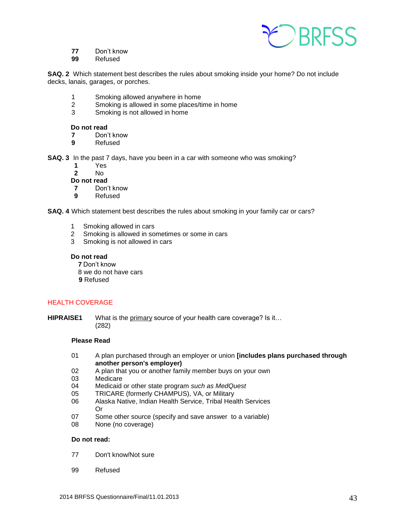

- **77** Don't know
- **99** Refused

**SAQ. 2** Which statement best describes the rules about smoking inside your home? Do not include decks, lanais, garages, or porches.

- 1 Smoking allowed anywhere in home
- 2 Smoking is allowed in some places/time in home
- 3 Smoking is not allowed in home

#### **Do not read**

- **7** Don't know
- **9** Refused
- **SAQ. 3** In the past 7 days, have you been in a car with someone who was smoking?
	- **1** Yes
	- **2** No

**Do not read** 

- **7** Don't know
- **9** Refused

**SAQ. 4** Which statement best describes the rules about smoking in your family car or cars?

- 1 Smoking allowed in cars
- 2 Smoking is allowed in sometimes or some in cars
- 3 Smoking is not allowed in cars

#### **Do not read**

- **7** Don't know
- 8 we do not have cars
- **9** Refused

#### HEALTH COVERAGE

**HIPRAISE1** What is the primary source of your health care coverage? Is it... (282)

#### **Please Read**

- 01 A plan purchased through an employer or union **[includes plans purchased through another person's employer)**
- 02 A plan that you or another family member buys on your own
- 03 Medicare
- 04 Medicaid or other state program *such as MedQuest*
- 05 TRICARE (formerly CHAMPUS), VA, or Military
- 06 Alaska Native, Indian Health Service, Tribal Health Services Or
- 07 Some other source (specify and save answer to a variable)
- 08 None (no coverage)

#### **Do not read:**

- 77 Don't know/Not sure
- 99 Refused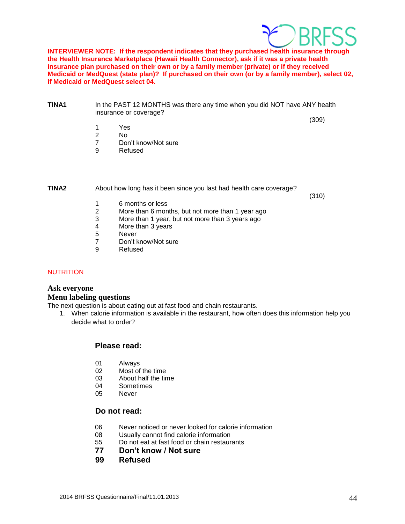

**INTERVIEWER NOTE: If the respondent indicates that they purchased health insurance through the Health Insurance Marketplace (Hawaii Health Connector), ask if it was a private health insurance plan purchased on their own or by a family member (private) or if they received Medicaid or MedQuest (state plan)? If purchased on their own (or by a family member), select 02, if Medicaid or MedQuest select 04.**

**TINA1** In the PAST 12 MONTHS was there any time when you did NOT have ANY health insurance or coverage?

(309)

- 1 Yes
- 2 No<br>7 Dou
- Don't know/Not sure
- 9 Refused

**TINA2** About how long has it been since you last had health care coverage?

(310)

- 1 6 months or less<br>2 More than 6 mon
- More than 6 months, but not more than 1 year ago
- 3 More than 1 year, but not more than 3 years ago
- 4 More than 3 years<br>5 Never
- **Never**
- 7 Don't know/Not sure
- 9 Refused

#### **NUTRITION**

### **Ask everyone**

#### **Menu labeling questions**

The next question is about eating out at fast food and chain restaurants.

1. When calorie information is available in the restaurant, how often does this information help you decide what to order?

### **Please read:**

- 01 Always
- 02 Most of the time
- 03 About half the time
- 04 Sometimes
- 05 Never

## **Do not read:**

- 06 Never noticed or never looked for calorie information
- 08 Usually cannot find calorie information
- 55 Do not eat at fast food or chain restaurants
- **77 Don't know / Not sure**
- **99 Refused**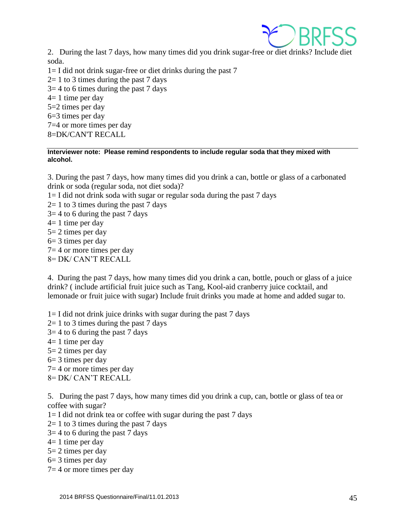

2. During the last 7 days, how many times did you drink sugar-free or diet drinks? Include diet soda.

1= I did not drink sugar-free or diet drinks during the past 7  $2=1$  to 3 times during the past 7 days  $3=4$  to 6 times during the past 7 days  $4=1$  time per day 5=2 times per day 6=3 times per day 7=4 or more times per day 8=DK/CAN'T RECALL

#### **Interviewer note: Please remind respondents to include regular soda that they mixed with alcohol.**

3. During the past 7 days, how many times did you drink a can, bottle or glass of a carbonated drink or soda (regular soda, not diet soda)?

- 1= I did not drink soda with sugar or regular soda during the past 7 days
- $2= 1$  to 3 times during the past 7 days
- $3=4$  to 6 during the past 7 days
- $4=1$  time per day
- $5=2$  times per day
- 6= 3 times per day
- $7=4$  or more times per day
- 8= DK/ CAN'T RECALL

4. During the past 7 days, how many times did you drink a can, bottle, pouch or glass of a juice drink? ( include artificial fruit juice such as Tang, Kool-aid cranberry juice cocktail, and lemonade or fruit juice with sugar) Include fruit drinks you made at home and added sugar to.

 $1=$  I did not drink juice drinks with sugar during the past 7 days

 $2= 1$  to 3 times during the past 7 days

- $3=4$  to 6 during the past 7 days
- $4=1$  time per day
- $5=2$  times per day
- 6= 3 times per day

 $7=4$  or more times per day

8= DK/ CAN'T RECALL

5. During the past 7 days, how many times did you drink a cup, can, bottle or glass of tea or coffee with sugar?

1= I did not drink tea or coffee with sugar during the past 7 days

- $2= 1$  to 3 times during the past 7 days
- $3=4$  to 6 during the past 7 days
- $4=1$  time per day
- 5= 2 times per day
- 6= 3 times per day
- 7= 4 or more times per day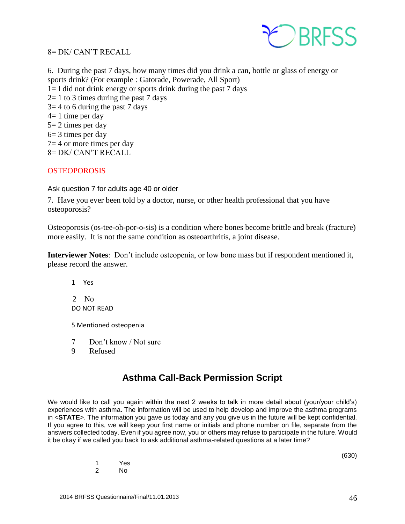

8= DK/ CAN'T RECALL

6. During the past 7 days, how many times did you drink a can, bottle or glass of energy or sports drink? (For example : Gatorade, Powerade, All Sport) 1= I did not drink energy or sports drink during the past 7 days  $2= 1$  to 3 times during the past 7 days  $3=4$  to 6 during the past 7 days  $4=1$  time per day  $5=2$  times per day 6= 3 times per day  $7=4$  or more times per day 8= DK/ CAN'T RECALL

### **OSTEOPOROSIS**

Ask question 7 for adults age 40 or older

7. Have you ever been told by a doctor, nurse, or other health professional that you have osteoporosis?

Osteoporosis (os-tee-oh-por-o-sis) is a condition where bones become brittle and break (fracture) more easily. It is not the same condition as osteoarthritis, a joint disease.

**Interviewer Notes**: Don't include osteopenia, or low bone mass but if respondent mentioned it, please record the answer.

1 Yes 2 No

DO NOT READ

5 Mentioned osteopenia

- 7 Don't know / Not sure
- 9 Refused

# **Asthma Call-Back Permission Script**

We would like to call you again within the next 2 weeks to talk in more detail about (your/your child's) experiences with asthma. The information will be used to help develop and improve the asthma programs in <**STATE**>. The information you gave us today and any you give us in the future will be kept confidential. If you agree to this, we will keep your first name or initials and phone number on file, separate from the answers collected today. Even if you agree now, you or others may refuse to participate in the future. Would it be okay if we called you back to ask additional asthma-related questions at a later time?

(630)

1 Yes 2 No